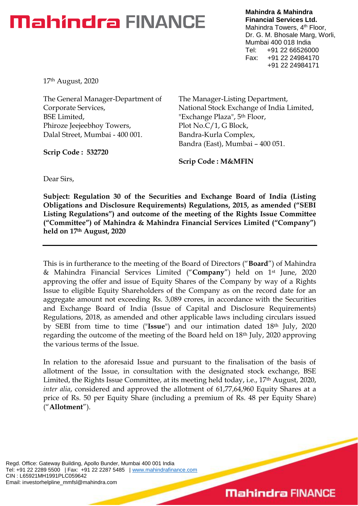## **Mahindra FINANCE**

**Mahindra & Mahindra Financial Services Ltd.** Mahindra Towers, 4<sup>th</sup> Floor, Dr. G. M. Bhosale Marg, Worli, Mumbai 400 018 India Tel: +91 22 66526000 Fax: +91 22 24984170 +91 22 24984171

17th August, 2020

The General Manager-Department of Corporate Services, BSE Limited, Phiroze Jeejeebhoy Towers, Dalal Street, Mumbai - 400 001.

**Scrip Code : 532720**

The Manager-Listing Department, National Stock Exchange of India Limited, "Exchange Plaza", 5<sup>th</sup> Floor, Plot No.C/1, G Block, Bandra-Kurla Complex, Bandra (East), Mumbai – 400 051.

**Scrip Code : M&MFIN** 

Dear Sirs,

**Subject: Regulation 30 of the Securities and Exchange Board of India (Listing Obligations and Disclosure Requirements) Regulations, 2015, as amended ("SEBI Listing Regulations") and outcome of the meeting of the Rights Issue Committee ("Committee") of Mahindra & Mahindra Financial Services Limited ("Company") held on 17th August, 2020**

This is in furtherance to the meeting of the Board of Directors ("**Board**") of Mahindra & Mahindra Financial Services Limited ("**Company**") held on 1st June, 2020 approving the offer and issue of Equity Shares of the Company by way of a Rights Issue to eligible Equity Shareholders of the Company as on the record date for an aggregate amount not exceeding Rs. 3,089 crores, in accordance with the Securities and Exchange Board of India (Issue of Capital and Disclosure Requirements) Regulations, 2018, as amended and other applicable laws including circulars issued by SEBI from time to time ("**Issue**") and our intimation dated 18th July, 2020 regarding the outcome of the meeting of the Board held on 18th July, 2020 approving the various terms of the Issue.

In relation to the aforesaid Issue and pursuant to the finalisation of the basis of allotment of the Issue, in consultation with the designated stock exchange, BSE Limited, the Rights Issue Committee, at its meeting held today, i.e., 17<sup>th</sup> August, 2020, *inter alia*, considered and approved the allotment of 61,77,64,960 Equity Shares at a price of Rs. 50 per Equity Share (including a premium of Rs. 48 per Equity Share) ("**Allotment**").

Regd. Office: Gateway Building, Apollo Bunder, Mumbai 400 001 India Tel: +91 22 2289 5500 | Fax: +91 22 2287 5485 | [www.mahindrafinance.com](http://www.mahindrafinance.com/) CIN : L65921MH1991PLC059642 Email: investorhelpline\_mmfsl@mahindra.com

## **Mahindra FINANCE**